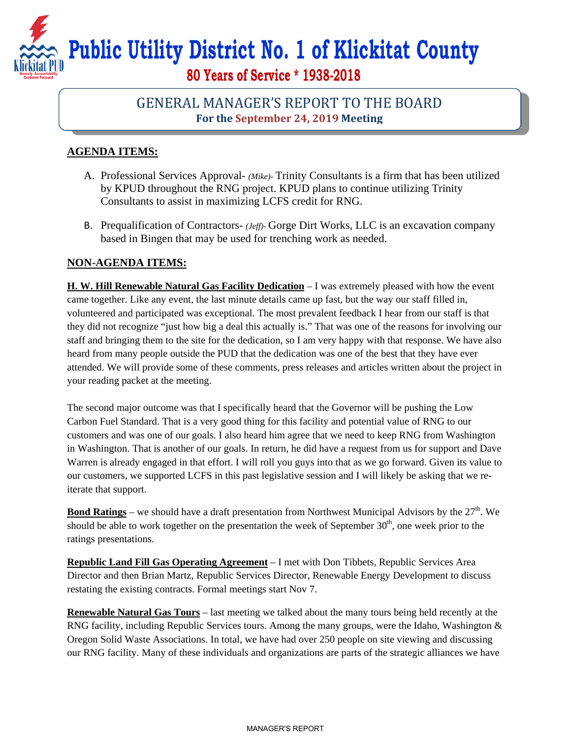**Public Utility District No. 1 of Klickitat County** 

**80 Years of Service \* 1938-2018** 

## GENERAL MANAGER'S REPORT TO THE BOARD **For the September 24, 2019 Meeting**

## **AGENDA ITEMS:**

- A. Professional Services Approval- *(Mike)-* Trinity Consultants is a firm that has been utilized by KPUD throughout the RNG project. KPUD plans to continue utilizing Trinity Consultants to assist in maximizing LCFS credit for RNG.
- B. Prequalification of Contractors- *(Jeff)-* Gorge Dirt Works, LLC is an excavation company based in Bingen that may be used for trenching work as needed.

## **NON-AGENDA ITEMS:**

**H. W. Hill Renewable Natural Gas Facility Dedication** – I was extremely pleased with how the event came together. Like any event, the last minute details came up fast, but the way our staff filled in, volunteered and participated was exceptional. The most prevalent feedback I hear from our staff is that they did not recognize "just how big a deal this actually is." That was one of the reasons for involving our staff and bringing them to the site for the dedication, so I am very happy with that response. We have also heard from many people outside the PUD that the dedication was one of the best that they have ever attended. We will provide some of these comments, press releases and articles written about the project in your reading packet at the meeting.

The second major outcome was that I specifically heard that the Governor will be pushing the Low Carbon Fuel Standard. That is a very good thing for this facility and potential value of RNG to our customers and was one of our goals. I also heard him agree that we need to keep RNG from Washington in Washington. That is another of our goals. In return, he did have a request from us for support and Dave Warren is already engaged in that effort. I will roll you guys into that as we go forward. Given its value to our customers, we supported LCFS in this past legislative session and I will likely be asking that we reiterate that support.

**Bond Ratings** – we should have a draft presentation from Northwest Municipal Advisors by the 27<sup>th</sup>. We should be able to work together on the presentation the week of September  $30<sup>th</sup>$ , one week prior to the ratings presentations.

**Republic Land Fill Gas Operating Agreement** – I met with Don Tibbets, Republic Services Area Director and then Brian Martz, Republic Services Director, Renewable Energy Development to discuss restating the existing contracts. Formal meetings start Nov 7.

**Renewable Natural Gas Tours** – last meeting we talked about the many tours being held recently at the RNG facility, including Republic Services tours. Among the many groups, were the Idaho, Washington & Oregon Solid Waste Associations. In total, we have had over 250 people on site viewing and discussing our RNG facility. Many of these individuals and organizations are parts of the strategic alliances we have